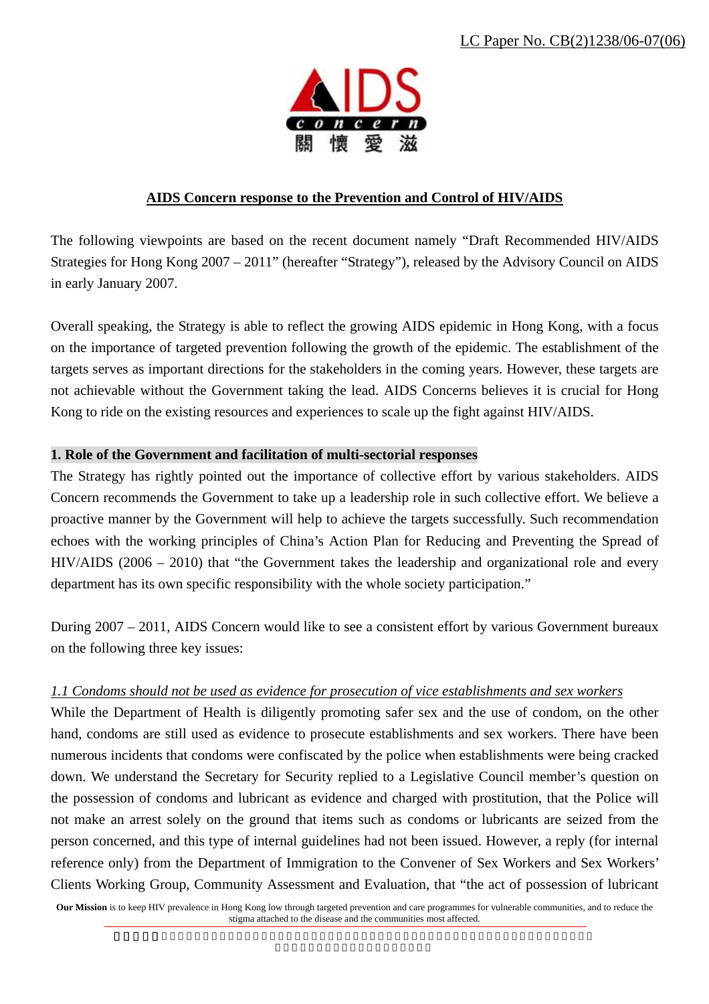

# **AIDS Concern response to the Prevention and Control of HIV/AIDS**

The following viewpoints are based on the recent document namely "Draft Recommended HIV/AIDS Strategies for Hong Kong 2007 – 2011" (hereafter "Strategy"), released by the Advisory Council on AIDS in early January 2007.

Overall speaking, the Strategy is able to reflect the growing AIDS epidemic in Hong Kong, with a focus on the importance of targeted prevention following the growth of the epidemic. The establishment of the targets serves as important directions for the stakeholders in the coming years. However, these targets are not achievable without the Government taking the lead. AIDS Concerns believes it is crucial for Hong Kong to ride on the existing resources and experiences to scale up the fight against HIV/AIDS.

# **1. Role of the Government and facilitation of multi-sectorial responses**

The Strategy has rightly pointed out the importance of collective effort by various stakeholders. AIDS Concern recommends the Government to take up a leadership role in such collective effort. We believe a proactive manner by the Government will help to achieve the targets successfully. Such recommendation echoes with the working principles of China's Action Plan for Reducing and Preventing the Spread of HIV/AIDS (2006 – 2010) that "the Government takes the leadership and organizational role and every department has its own specific responsibility with the whole society participation."

During 2007 – 2011, AIDS Concern would like to see a consistent effort by various Government bureaux on the following three key issues:

# *1.1 Condoms should not be used as evidence for prosecution of vice establishments and sex workers*

While the Department of Health is diligently promoting safer sex and the use of condom, on the other hand, condoms are still used as evidence to prosecute establishments and sex workers. There have been numerous incidents that condoms were confiscated by the police when establishments were being cracked down. We understand the Secretary for Security replied to a Legislative Council member's question on the possession of condoms and lubricant as evidence and charged with prostitution, that the Police will not make an arrest solely on the ground that items such as condoms or lubricants are seized from the person concerned, and this type of internal guidelines had not been issued. However, a reply (for internal reference only) from the Department of Immigration to the Convener of Sex Workers and Sex Workers' Clients Working Group, Community Assessment and Evaluation, that "the act of possession of lubricant

**Our Mission** is to keep HIV prevalence in Hong Kong low through targeted prevention and care programmes for vulnerable communities, and to reduce the stigma attached to the disease and the communities most affected.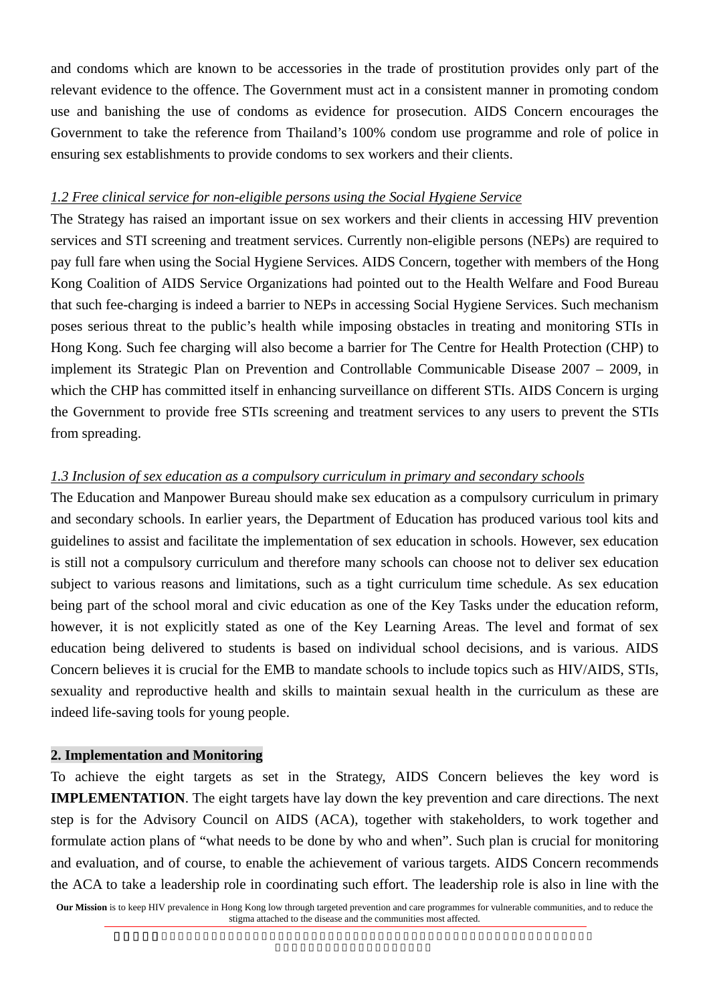and condoms which are known to be accessories in the trade of prostitution provides only part of the relevant evidence to the offence. The Government must act in a consistent manner in promoting condom use and banishing the use of condoms as evidence for prosecution. AIDS Concern encourages the Government to take the reference from Thailand's 100% condom use programme and role of police in ensuring sex establishments to provide condoms to sex workers and their clients.

#### *1.2 Free clinical service for non-eligible persons using the Social Hygiene Service*

The Strategy has raised an important issue on sex workers and their clients in accessing HIV prevention services and STI screening and treatment services. Currently non-eligible persons (NEPs) are required to pay full fare when using the Social Hygiene Services. AIDS Concern, together with members of the Hong Kong Coalition of AIDS Service Organizations had pointed out to the Health Welfare and Food Bureau that such fee-charging is indeed a barrier to NEPs in accessing Social Hygiene Services. Such mechanism poses serious threat to the public's health while imposing obstacles in treating and monitoring STIs in Hong Kong. Such fee charging will also become a barrier for The Centre for Health Protection (CHP) to implement its Strategic Plan on Prevention and Controllable Communicable Disease 2007 – 2009, in which the CHP has committed itself in enhancing surveillance on different STIs. AIDS Concern is urging the Government to provide free STIs screening and treatment services to any users to prevent the STIs from spreading.

#### *1.3 Inclusion of sex education as a compulsory curriculum in primary and secondary schools*

The Education and Manpower Bureau should make sex education as a compulsory curriculum in primary and secondary schools. In earlier years, the Department of Education has produced various tool kits and guidelines to assist and facilitate the implementation of sex education in schools. However, sex education is still not a compulsory curriculum and therefore many schools can choose not to deliver sex education subject to various reasons and limitations, such as a tight curriculum time schedule. As sex education being part of the school moral and civic education as one of the Key Tasks under the education reform, however, it is not explicitly stated as one of the Key Learning Areas. The level and format of sex education being delivered to students is based on individual school decisions, and is various. AIDS Concern believes it is crucial for the EMB to mandate schools to include topics such as HIV/AIDS, STIs, sexuality and reproductive health and skills to maintain sexual health in the curriculum as these are indeed life-saving tools for young people.

#### **2. Implementation and Monitoring**

To achieve the eight targets as set in the Strategy, AIDS Concern believes the key word is **IMPLEMENTATION**. The eight targets have lay down the key prevention and care directions. The next step is for the Advisory Council on AIDS (ACA), together with stakeholders, to work together and formulate action plans of "what needs to be done by who and when". Such plan is crucial for monitoring and evaluation, and of course, to enable the achievement of various targets. AIDS Concern recommends the ACA to take a leadership role in coordinating such effort. The leadership role is also in line with the

**Our Mission** is to keep HIV prevalence in Hong Kong low through targeted prevention and care programmes for vulnerable communities, and to reduce the stigma attached to the disease and the communities most affected.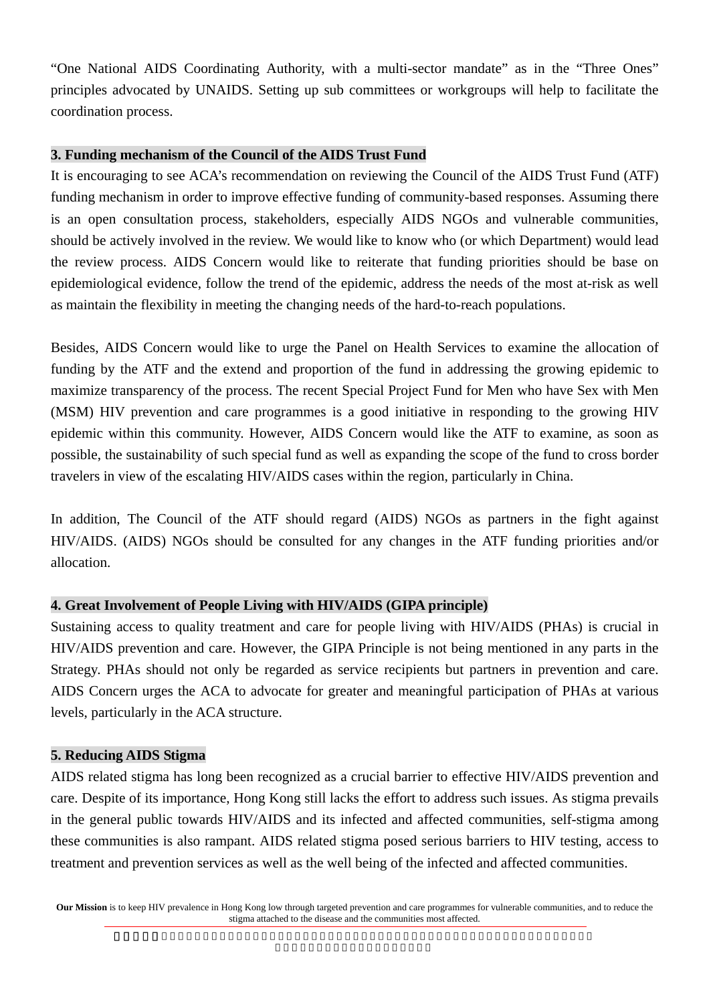"One National AIDS Coordinating Authority, with a multi-sector mandate" as in the "Three Ones" principles advocated by UNAIDS. Setting up sub committees or workgroups will help to facilitate the coordination process.

# **3. Funding mechanism of the Council of the AIDS Trust Fund**

It is encouraging to see ACA's recommendation on reviewing the Council of the AIDS Trust Fund (ATF) funding mechanism in order to improve effective funding of community-based responses. Assuming there is an open consultation process, stakeholders, especially AIDS NGOs and vulnerable communities, should be actively involved in the review. We would like to know who (or which Department) would lead the review process. AIDS Concern would like to reiterate that funding priorities should be base on epidemiological evidence, follow the trend of the epidemic, address the needs of the most at-risk as well as maintain the flexibility in meeting the changing needs of the hard-to-reach populations.

Besides, AIDS Concern would like to urge the Panel on Health Services to examine the allocation of funding by the ATF and the extend and proportion of the fund in addressing the growing epidemic to maximize transparency of the process. The recent Special Project Fund for Men who have Sex with Men (MSM) HIV prevention and care programmes is a good initiative in responding to the growing HIV epidemic within this community. However, AIDS Concern would like the ATF to examine, as soon as possible, the sustainability of such special fund as well as expanding the scope of the fund to cross border travelers in view of the escalating HIV/AIDS cases within the region, particularly in China.

In addition, The Council of the ATF should regard (AIDS) NGOs as partners in the fight against HIV/AIDS. (AIDS) NGOs should be consulted for any changes in the ATF funding priorities and/or allocation.

# **4. Great Involvement of People Living with HIV/AIDS (GIPA principle)**

Sustaining access to quality treatment and care for people living with HIV/AIDS (PHAs) is crucial in HIV/AIDS prevention and care. However, the GIPA Principle is not being mentioned in any parts in the Strategy. PHAs should not only be regarded as service recipients but partners in prevention and care. AIDS Concern urges the ACA to advocate for greater and meaningful participation of PHAs at various levels, particularly in the ACA structure.

#### **5. Reducing AIDS Stigma**

AIDS related stigma has long been recognized as a crucial barrier to effective HIV/AIDS prevention and care. Despite of its importance, Hong Kong still lacks the effort to address such issues. As stigma prevails in the general public towards HIV/AIDS and its infected and affected communities, self-stigma among these communities is also rampant. AIDS related stigma posed serious barriers to HIV testing, access to treatment and prevention services as well as the well being of the infected and affected communities.

**Our Mission** is to keep HIV prevalence in Hong Kong low through targeted prevention and care programmes for vulnerable communities, and to reduce the stigma attached to the disease and the communities most affected.